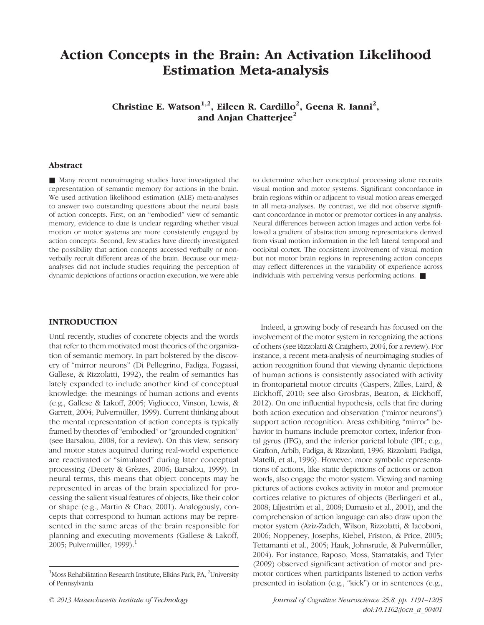# Action Concepts in the Brain: An Activation Likelihood Estimation Meta-analysis

Christine E. Watson<sup>1,2</sup>, Eileen R. Cardillo<sup>2</sup>, Geena R. Ianni<sup>2</sup>, and Anjan Chatterjee<sup>2</sup>

## Abstract

■ Many recent neuroimaging studies have investigated the representation of semantic memory for actions in the brain. We used activation likelihood estimation (ALE) meta-analyses to answer two outstanding questions about the neural basis of action concepts. First, on an "embodied" view of semantic memory, evidence to date is unclear regarding whether visual motion or motor systems are more consistently engaged by action concepts. Second, few studies have directly investigated the possibility that action concepts accessed verbally or nonverbally recruit different areas of the brain. Because our metaanalyses did not include studies requiring the perception of dynamic depictions of actions or action execution, we were able to determine whether conceptual processing alone recruits visual motion and motor systems. Significant concordance in brain regions within or adjacent to visual motion areas emerged in all meta-analyses. By contrast, we did not observe significant concordance in motor or premotor cortices in any analysis. Neural differences between action images and action verbs followed a gradient of abstraction among representations derived from visual motion information in the left lateral temporal and occipital cortex. The consistent involvement of visual motion but not motor brain regions in representing action concepts may reflect differences in the variability of experience across individuals with perceiving versus performing actions. ■

## INTRODUCTION

Until recently, studies of concrete objects and the words that refer to them motivated most theories of the organization of semantic memory. In part bolstered by the discovery of "mirror neurons" (Di Pellegrino, Fadiga, Fogassi, Gallese, & Rizzolatti, 1992), the realm of semantics has lately expanded to include another kind of conceptual knowledge: the meanings of human actions and events (e.g., Gallese & Lakoff, 2005; Vigliocco, Vinson, Lewis, & Garrett, 2004; Pulvermüller, 1999). Current thinking about the mental representation of action concepts is typically framed by theories of "embodied" or "grounded cognition" (see Barsalou, 2008, for a review). On this view, sensory and motor states acquired during real-world experience are reactivated or "simulated" during later conceptual processing (Decety & Grèzes, 2006; Barsalou, 1999). In neural terms, this means that object concepts may be represented in areas of the brain specialized for processing the salient visual features of objects, like their color or shape (e.g., Martin & Chao, 2001). Analogously, concepts that correspond to human actions may be represented in the same areas of the brain responsible for planning and executing movements (Gallese & Lakoff, 2005; Pulvermüller, 1999). $<sup>1</sup>$ </sup>

Indeed, a growing body of research has focused on the involvement of the motor system in recognizing the actions of others (see Rizzolatti & Craighero, 2004, for a review). For instance, a recent meta-analysis of neuroimaging studies of action recognition found that viewing dynamic depictions of human actions is consistently associated with activity in frontoparietal motor circuits (Caspers, Zilles, Laird, & Eickhoff, 2010; see also Grosbras, Beaton, & Eickhoff, 2012). On one influential hypothesis, cells that fire during both action execution and observation ("mirror neurons") support action recognition. Areas exhibiting "mirror" behavior in humans include premotor cortex, inferior frontal gyrus (IFG), and the inferior parietal lobule (IPL; e.g., Grafton, Arbib, Fadiga, & Rizzolatti, 1996; Rizzolatti, Fadiga, Matelli, et al., 1996). However, more symbolic representations of actions, like static depictions of actions or action words, also engage the motor system. Viewing and naming pictures of actions evokes activity in motor and premotor cortices relative to pictures of objects (Berlingeri et al., 2008; Liljeström et al., 2008; Damasio et al., 2001), and the comprehension of action language can also draw upon the motor system (Aziz-Zadeh, Wilson, Rizzolatti, & Iacoboni, 2006; Noppeney, Josephs, Kiebel, Friston, & Price, 2005; Tettamanti et al., 2005; Hauk, Johnsrude, & Pulvermüller, 2004). For instance, Raposo, Moss, Stamatakis, and Tyler (2009) observed significant activation of motor and premotor cortices when participants listened to action verbs presented in isolation (e.g., "kick") or in sentences (e.g.,

© 2013 Massachusetts Institute of Technology Journal of Cognitive Neuroscience 25:8, pp. 1191–1205 doi:10.1162/jocn\_a\_00401

<sup>&</sup>lt;sup>1</sup>Moss Rehabilitation Research Institute, Elkins Park, PA, <sup>2</sup>University of Pennsylvania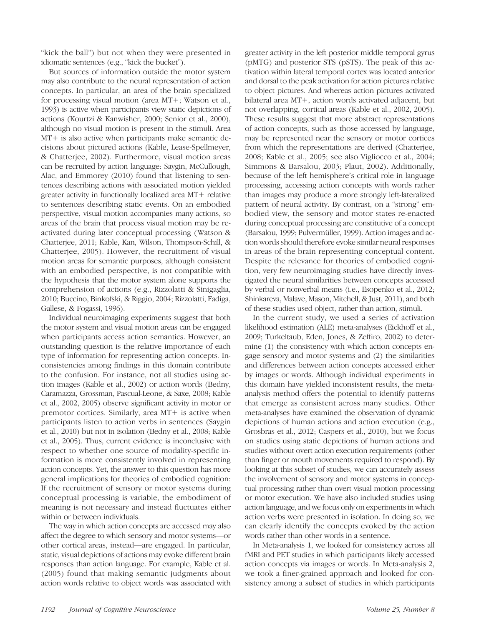"kick the ball") but not when they were presented in idiomatic sentences (e.g., "kick the bucket").

But sources of information outside the motor system may also contribute to the neural representation of action concepts. In particular, an area of the brain specialized for processing visual motion (area MT+; Watson et al., 1993) is active when participants view static depictions of actions (Kourtzi & Kanwisher, 2000; Senior et al., 2000), although no visual motion is present in the stimuli. Area MT+ is also active when participants make semantic decisions about pictured actions (Kable, Lease-Spellmeyer, & Chatterjee, 2002). Furthermore, visual motion areas can be recruited by action language: Saygin, McCullough, Alac, and Emmorey (2010) found that listening to sentences describing actions with associated motion yielded greater activity in functionally localized area MT+ relative to sentences describing static events. On an embodied perspective, visual motion accompanies many actions, so areas of the brain that process visual motion may be reactivated during later conceptual processing (Watson & Chatterjee, 2011; Kable, Kan, Wilson, Thompson-Schill, & Chatterjee, 2005). However, the recruitment of visual motion areas for semantic purposes, although consistent with an embodied perspective, is not compatible with the hypothesis that the motor system alone supports the comprehension of actions (e.g., Rizzolatti & Sinigaglia, 2010; Buccino, Binkofski, & Riggio, 2004; Rizzolatti, Fadiga, Gallese, & Fogassi, 1996).

Individual neuroimaging experiments suggest that both the motor system and visual motion areas can be engaged when participants access action semantics. However, an outstanding question is the relative importance of each type of information for representing action concepts. Inconsistencies among findings in this domain contribute to the confusion. For instance, not all studies using action images (Kable et al., 2002) or action words (Bedny, Caramazza, Grossman, Pascual-Leone, & Saxe, 2008; Kable et al., 2002, 2005) observe significant activity in motor or premotor cortices. Similarly, area MT+ is active when participants listen to action verbs in sentences (Saygin et al., 2010) but not in isolation (Bedny et al., 2008; Kable et al., 2005). Thus, current evidence is inconclusive with respect to whether one source of modality-specific information is more consistently involved in representing action concepts. Yet, the answer to this question has more general implications for theories of embodied cognition: If the recruitment of sensory or motor systems during conceptual processing is variable, the embodiment of meaning is not necessary and instead fluctuates either within or between individuals.

The way in which action concepts are accessed may also affect the degree to which sensory and motor systems—or other cortical areas, instead—are engaged. In particular, static, visual depictions of actions may evoke different brain responses than action language. For example, Kable et al. (2005) found that making semantic judgments about action words relative to object words was associated with

greater activity in the left posterior middle temporal gyrus (pMTG) and posterior STS (pSTS). The peak of this activation within lateral temporal cortex was located anterior and dorsal to the peak activation for action pictures relative to object pictures. And whereas action pictures activated bilateral area MT+, action words activated adjacent, but not overlapping, cortical areas (Kable et al., 2002, 2005). These results suggest that more abstract representations of action concepts, such as those accessed by language, may be represented near the sensory or motor cortices from which the representations are derived (Chatterjee, 2008; Kable et al., 2005; see also Vigliocco et al., 2004; Simmons & Barsalou, 2003; Plaut, 2002). Additionally, because of the left hemisphere's critical role in language processing, accessing action concepts with words rather than images may produce a more strongly left-lateralized pattern of neural activity. By contrast, on a "strong" embodied view, the sensory and motor states re-enacted during conceptual processing are constitutive of a concept (Barsalou, 1999; Pulvermüller, 1999). Action images and action words should therefore evoke similar neural responses in areas of the brain representing conceptual content. Despite the relevance for theories of embodied cognition, very few neuroimaging studies have directly investigated the neural similarities between concepts accessed by verbal or nonverbal means (i.e., Esopenko et al., 2012; Shinkareva, Malave, Mason, Mitchell, & Just, 2011), and both of these studies used object, rather than action, stimuli.

In the current study, we used a series of activation likelihood estimation (ALE) meta-analyses (Eickhoff et al., 2009; Turkeltaub, Eden, Jones, & Zeffiro, 2002) to determine (1) the consistency with which action concepts engage sensory and motor systems and (2) the similarities and differences between action concepts accessed either by images or words. Although individual experiments in this domain have yielded inconsistent results, the metaanalysis method offers the potential to identify patterns that emerge as consistent across many studies. Other meta-analyses have examined the observation of dynamic depictions of human actions and action execution (e.g., Grosbras et al., 2012; Caspers et al., 2010), but we focus on studies using static depictions of human actions and studies without overt action execution requirements (other than finger or mouth movements required to respond). By looking at this subset of studies, we can accurately assess the involvement of sensory and motor systems in conceptual processing rather than overt visual motion processing or motor execution. We have also included studies using action language, and we focus only on experiments in which action verbs were presented in isolation. In doing so, we can clearly identify the concepts evoked by the action words rather than other words in a sentence.

In Meta-analysis 1, we looked for consistency across all fMRI and PET studies in which participants likely accessed action concepts via images or words. In Meta-analysis 2, we took a finer-grained approach and looked for consistency among a subset of studies in which participants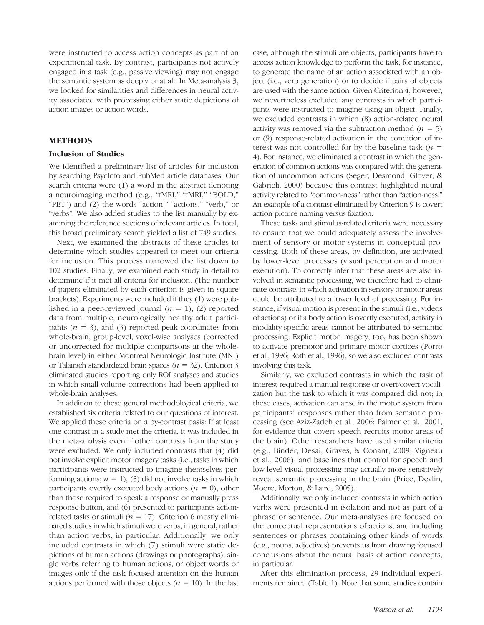were instructed to access action concepts as part of an experimental task. By contrast, participants not actively engaged in a task (e.g., passive viewing) may not engage the semantic system as deeply or at all. In Meta-analysis 3, we looked for similarities and differences in neural activity associated with processing either static depictions of action images or action words.

## METHODS

#### Inclusion of Studies

We identified a preliminary list of articles for inclusion by searching PsycInfo and PubMed article databases. Our search criteria were (1) a word in the abstract denoting a neuroimaging method (e.g., "fMRI," "fMRI," "BOLD," "PET") and (2) the words "action," "actions," "verb," or "verbs". We also added studies to the list manually by examining the reference sections of relevant articles. In total, this broad preliminary search yielded a list of 749 studies.

Next, we examined the abstracts of these articles to determine which studies appeared to meet our criteria for inclusion. This process narrowed the list down to 102 studies. Finally, we examined each study in detail to determine if it met all criteria for inclusion. (The number of papers eliminated by each criterion is given in square brackets). Experiments were included if they (1) were published in a peer-reviewed journal  $(n = 1)$ , (2) reported data from multiple, neurologically healthy adult participants  $(n = 3)$ , and (3) reported peak coordinates from whole-brain, group-level, voxel-wise analyses (corrected or uncorrected for multiple comparisons at the wholebrain level) in either Montreal Neurologic Institute (MNI) or Talairach standardized brain spaces ( $n = 32$ ). Criterion 3 eliminated studies reporting only ROI analyses and studies in which small-volume corrections had been applied to whole-brain analyses.

In addition to these general methodological criteria, we established six criteria related to our questions of interest. We applied these criteria on a by-contrast basis: If at least one contrast in a study met the criteria, it was included in the meta-analysis even if other contrasts from the study were excluded. We only included contrasts that (4) did not involve explicit motor imagery tasks (i.e., tasks in which participants were instructed to imagine themselves performing actions;  $n = 1$ , (5) did not involve tasks in which participants overtly executed body actions ( $n = 0$ ), other than those required to speak a response or manually press response button, and (6) presented to participants actionrelated tasks or stimuli ( $n = 17$ ). Criterion 6 mostly eliminated studies in which stimuli were verbs, in general, rather than action verbs, in particular. Additionally, we only included contrasts in which (7) stimuli were static depictions of human actions (drawings or photographs), single verbs referring to human actions, or object words or images only if the task focused attention on the human actions performed with those objects ( $n = 10$ ). In the last

case, although the stimuli are objects, participants have to access action knowledge to perform the task, for instance, to generate the name of an action associated with an object (i.e., verb generation) or to decide if pairs of objects are used with the same action. Given Criterion 4, however, we nevertheless excluded any contrasts in which participants were instructed to imagine using an object. Finally, we excluded contrasts in which (8) action-related neural activity was removed via the subtraction method  $(n = 5)$ or (9) response-related activation in the condition of interest was not controlled for by the baseline task  $(n =$ 4). For instance, we eliminated a contrast in which the generation of common actions was compared with the generation of uncommon actions (Seger, Desmond, Glover, & Gabrieli, 2000) because this contrast highlighted neural activity related to "common-ness" rather than "action-ness." An example of a contrast eliminated by Criterion 9 is covert action picture naming versus fixation.

These task- and stimulus-related criteria were necessary to ensure that we could adequately assess the involvement of sensory or motor systems in conceptual processing. Both of these areas, by definition, are activated by lower-level processes (visual perception and motor execution). To correctly infer that these areas are also involved in semantic processing, we therefore had to eliminate contrasts in which activation in sensory or motor areas could be attributed to a lower level of processing. For instance, if visual motion is present in the stimuli (i.e., videos of actions) or if a body action is overtly executed, activity in modality-specific areas cannot be attributed to semantic processing. Explicit motor imagery, too, has been shown to activate premotor and primary motor cortices (Porro et al., 1996; Roth et al., 1996), so we also excluded contrasts involving this task.

Similarly, we excluded contrasts in which the task of interest required a manual response or overt/covert vocalization but the task to which it was compared did not; in these cases, activation can arise in the motor system from participants' responses rather than from semantic processing (see Aziz-Zadeh et al., 2006; Palmer et al., 2001, for evidence that covert speech recruits motor areas of the brain). Other researchers have used similar criteria (e.g., Binder, Desai, Graves, & Conant, 2009; Vigneau et al., 2006), and baselines that control for speech and low-level visual processing may actually more sensitively reveal semantic processing in the brain (Price, Devlin, Moore, Morton, & Laird, 2005).

Additionally, we only included contrasts in which action verbs were presented in isolation and not as part of a phrase or sentence. Our meta-analyses are focused on the conceptual representations of actions, and including sentences or phrases containing other kinds of words (e.g., nouns, adjectives) prevents us from drawing focused conclusions about the neural basis of action concepts, in particular.

After this elimination process, 29 individual experiments remained (Table 1). Note that some studies contain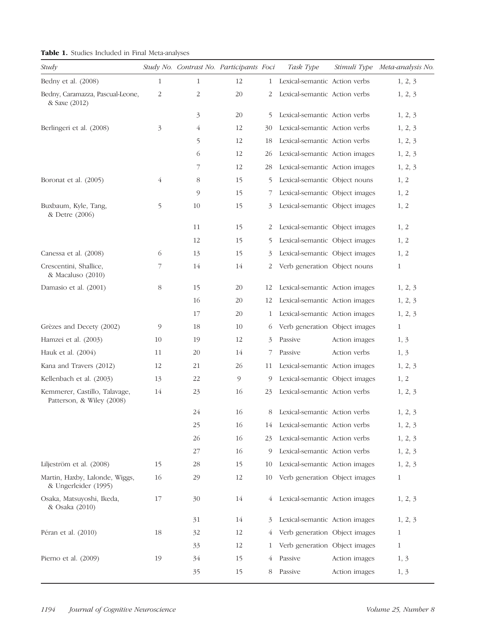|  |  |  |  |  |  | Table 1. Studies Included in Final Meta-analyses |  |
|--|--|--|--|--|--|--------------------------------------------------|--|
|--|--|--|--|--|--|--------------------------------------------------|--|

| Study                                                      |                | Study No. Contrast No. Participants Foci |    |    | Task Type                       |               | Stimuli Type Meta-analysis No. |
|------------------------------------------------------------|----------------|------------------------------------------|----|----|---------------------------------|---------------|--------------------------------|
| Bedny et al. (2008)                                        | $\mathbf{1}$   | $\mathbf{1}$                             | 12 |    | 1 Lexical-semantic Action verbs |               | 1, 2, 3                        |
| Bedny, Caramazza, Pascual-Leone,<br>& Saxe (2012)          | $\overline{c}$ | 2                                        | 20 | 2  | Lexical-semantic Action verbs   |               | 1, 2, 3                        |
|                                                            |                | 3                                        | 20 | 5  | Lexical-semantic Action verbs   |               | 1, 2, 3                        |
| Berlingeri et al. (2008)                                   | 3              | 4                                        | 12 | 30 | Lexical-semantic Action verbs   |               | 1, 2, 3                        |
|                                                            |                | 5                                        | 12 | 18 | Lexical-semantic Action verbs   |               | 1, 2, 3                        |
|                                                            |                | 6                                        | 12 | 26 | Lexical-semantic Action images  |               | 1, 2, 3                        |
|                                                            |                | 7                                        | 12 | 28 | Lexical-semantic Action images  |               | 1, 2, 3                        |
| Boronat et al. (2005)                                      | $\overline{4}$ | 8                                        | 15 | 5  | Lexical-semantic Object nouns   |               | 1, 2                           |
|                                                            |                | 9                                        | 15 | 7  | Lexical-semantic Object images  |               | 1, 2                           |
| Buxbaum, Kyle, Tang,<br>& Detre (2006)                     | 5              | 10                                       | 15 | 3  | Lexical-semantic Object images  |               | 1, 2                           |
|                                                            |                | 11                                       | 15 | 2  | Lexical-semantic Object images  |               | 1, 2                           |
|                                                            |                | 12                                       | 15 | 5  | Lexical-semantic Object images  |               | 1, 2                           |
| Canessa et al. (2008)                                      | 6              | 13                                       | 15 | 3  | Lexical-semantic Object images  |               | 1, 2                           |
| Crescentini, Shallice,<br>& Macaluso (2010)                | 7              | 14                                       | 14 | 2  | Verb generation Object nouns    |               | 1                              |
| Damasio et al. (2001)                                      | 8              | 15                                       | 20 | 12 | Lexical-semantic Action images  |               | 1, 2, 3                        |
|                                                            |                | 16                                       | 20 | 12 | Lexical-semantic Action images  |               | 1, 2, 3                        |
|                                                            |                | 17                                       | 20 | 1  | Lexical-semantic Action images  |               | 1, 2, 3                        |
| Grèzes and Decety (2002)                                   | 9              | 18                                       | 10 | 6  | Verb generation Object images   |               | 1                              |
| Hamzei et al. (2003)                                       | 10             | 19                                       | 12 | 3  | Passive                         | Action images | 1, 3                           |
| Hauk et al. (2004)                                         | 11             | 20                                       | 14 | 7  | Passive                         | Action verbs  | 1, 3                           |
| Kana and Travers (2012)                                    | 12             | 21                                       | 26 | 11 | Lexical-semantic Action images  |               | 1, 2, 3                        |
| Kellenbach et al. (2003)                                   | 13             | 22                                       | 9  | 9  | Lexical-semantic Object images  |               | 1, 2                           |
| Kemmerer, Castillo, Talavage,<br>Patterson, & Wiley (2008) | 14             | 23                                       | 16 | 23 | Lexical-semantic Action verbs   |               | 1, 2, 3                        |
|                                                            |                | 24                                       | 16 |    | 8 Lexical-semantic Action verbs |               | 1, 2, 3                        |
|                                                            |                | 25                                       | 16 | 14 | Lexical-semantic Action verbs   |               | 1, 2, 3                        |
|                                                            |                | 26                                       | 16 | 23 | Lexical-semantic Action verbs   |               | 1, 2, 3                        |
|                                                            |                | 27                                       | 16 | 9  | Lexical-semantic Action verbs   |               | 1, 2, 3                        |
| Liljeström et al. (2008)                                   | 15             | 28                                       | 15 | 10 | Lexical-semantic Action images  |               | 1, 2, 3                        |
| Martin, Haxby, Lalonde, Wiggs,<br>& Ungerleider (1995)     | 16             | 29                                       | 12 | 10 | Verb generation Object images   |               | 1                              |
| Osaka, Matsuyoshi, Ikeda,<br>& Osaka (2010)                | 17             | 30                                       | 14 | 4  | Lexical-semantic Action images  |               | 1, 2, 3                        |
|                                                            |                | 31                                       | 14 | 3  | Lexical-semantic Action images  |               | 1, 2, 3                        |
| Péran et al. (2010)                                        | 18             | 32                                       | 12 | 4  | Verb generation Object images   |               | 1                              |
|                                                            |                | 33                                       | 12 | 1  | Verb generation Object images   |               | 1                              |
| Pierno et al. $(2009)$                                     | 19             | 34                                       | 15 | 4  | Passive                         | Action images | 1, 3                           |
|                                                            |                | 35                                       | 15 | 8  | Passive                         | Action images | 1, 3                           |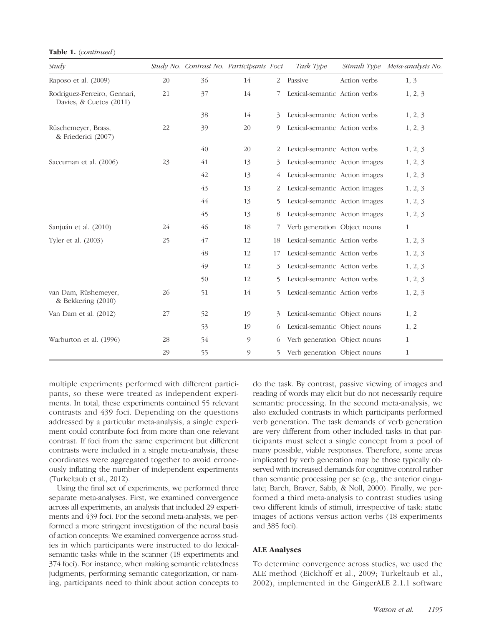Table 1. (continued)

| Study                                                   |    | Study No. Contrast No. Participants Foci |    |    | Task Type                      |              | Stimuli Type Meta-analysis No. |
|---------------------------------------------------------|----|------------------------------------------|----|----|--------------------------------|--------------|--------------------------------|
| Raposo et al. (2009)                                    | 20 | 36                                       | 14 | 2  | Passive                        | Action verbs | 1, 3                           |
| Rodríguez-Ferreiro, Gennari,<br>Davies, & Cuetos (2011) | 21 | 37                                       | 14 |    | Lexical-semantic Action verbs  |              | 1, 2, 3                        |
|                                                         |    | 38                                       | 14 | 3  | Lexical-semantic Action verbs  |              | 1, 2, 3                        |
| Rüschemeyer, Brass,<br>& Friederici (2007)              | 22 | 39                                       | 20 | 9  | Lexical-semantic Action verbs  |              | 1, 2, 3                        |
|                                                         |    | 40                                       | 20 | 2  | Lexical-semantic Action verbs  |              | 1, 2, 3                        |
| Saccuman et al. (2006)                                  | 23 | 41                                       | 13 | 3  | Lexical-semantic Action images |              | 1, 2, 3                        |
|                                                         |    | 42                                       | 13 | 4  | Lexical-semantic Action images |              | 1, 2, 3                        |
|                                                         |    | 43                                       | 13 | 2  | Lexical-semantic Action images |              | 1, 2, 3                        |
|                                                         |    | 44                                       | 13 | 5  | Lexical-semantic Action images |              | 1, 2, 3                        |
|                                                         |    | 45                                       | 13 | 8  | Lexical-semantic Action images |              | 1, 2, 3                        |
| Sanjuán et al. (2010)                                   | 24 | 46                                       | 18 | 7  | Verb generation Object nouns   |              | $\mathbf{1}$                   |
| Tyler et al. (2003)                                     | 25 | 47                                       | 12 | 18 | Lexical-semantic Action verbs  |              | 1, 2, 3                        |
|                                                         |    | 48                                       | 12 | 17 | Lexical-semantic Action verbs  |              | 1, 2, 3                        |
|                                                         |    | 49                                       | 12 | 3  | Lexical-semantic Action verbs  |              | 1, 2, 3                        |
|                                                         |    | 50                                       | 12 | 5  | Lexical-semantic Action verbs  |              | 1, 2, 3                        |
| van Dam, Rüshemeyer,<br>& Bekkering (2010)              | 26 | 51                                       | 14 | 5  | Lexical-semantic Action verbs  |              | 1, 2, 3                        |
| Van Dam et al. (2012)                                   | 27 | 52                                       | 19 | 3  | Lexical-semantic Object nouns  |              | 1, 2                           |
|                                                         |    | 53                                       | 19 | 6  | Lexical-semantic Object nouns  |              | 1, 2                           |
| Warburton et al. (1996)                                 | 28 | 54                                       | 9  | 6  | Verb generation Object nouns   |              | $\mathbf{1}$                   |
|                                                         | 29 | 55                                       | 9  | 5  | Verb generation Object nouns   |              | 1                              |

multiple experiments performed with different participants, so these were treated as independent experiments. In total, these experiments contained 55 relevant contrasts and 439 foci. Depending on the questions addressed by a particular meta-analysis, a single experiment could contribute foci from more than one relevant contrast. If foci from the same experiment but different contrasts were included in a single meta-analysis, these coordinates were aggregated together to avoid erroneously inflating the number of independent experiments (Turkeltaub et al., 2012).

Using the final set of experiments, we performed three separate meta-analyses. First, we examined convergence across all experiments, an analysis that included 29 experiments and 439 foci. For the second meta-analysis, we performed a more stringent investigation of the neural basis of action concepts: We examined convergence across studies in which participants were instructed to do lexicalsemantic tasks while in the scanner (18 experiments and 374 foci). For instance, when making semantic relatedness judgments, performing semantic categorization, or naming, participants need to think about action concepts to

do the task. By contrast, passive viewing of images and reading of words may elicit but do not necessarily require semantic processing. In the second meta-analysis, we also excluded contrasts in which participants performed verb generation. The task demands of verb generation are very different from other included tasks in that participants must select a single concept from a pool of many possible, viable responses. Therefore, some areas implicated by verb generation may be those typically observed with increased demands for cognitive control rather than semantic processing per se (e.g., the anterior cingulate; Barch, Braver, Sabb, & Noll, 2000). Finally, we performed a third meta-analysis to contrast studies using two different kinds of stimuli, irrespective of task: static images of actions versus action verbs (18 experiments and 385 foci).

#### ALE Analyses

To determine convergence across studies, we used the ALE method (Eickhoff et al., 2009; Turkeltaub et al., 2002), implemented in the GingerALE 2.1.1 software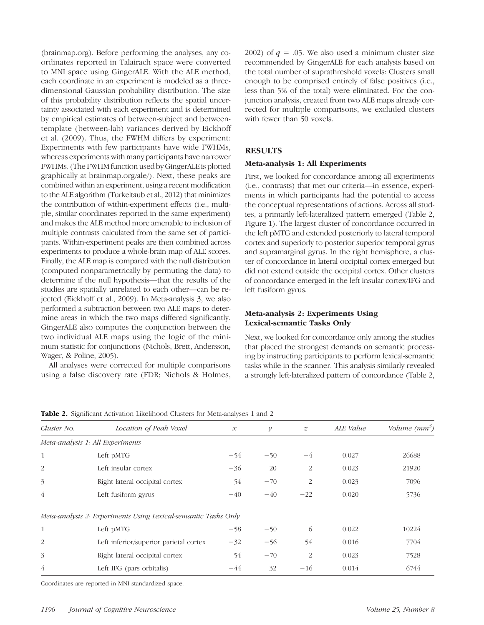(brainmap.org). Before performing the analyses, any coordinates reported in Talairach space were converted to MNI space using GingerALE. With the ALE method, each coordinate in an experiment is modeled as a threedimensional Gaussian probability distribution. The size of this probability distribution reflects the spatial uncertainty associated with each experiment and is determined by empirical estimates of between-subject and betweentemplate (between-lab) variances derived by Eickhoff et al. (2009). Thus, the FWHM differs by experiment: Experiments with few participants have wide FWHMs, whereas experiments with many participants have narrower FWHMs. (The FWHM function used by GingerALE is plotted graphically at brainmap.org/ale/). Next, these peaks are combined within an experiment, using a recent modification to the ALE algorithm (Turkeltaub et al., 2012) that minimizes the contribution of within-experiment effects (i.e., multiple, similar coordinates reported in the same experiment) and makes the ALE method more amenable to inclusion of multiple contrasts calculated from the same set of participants. Within-experiment peaks are then combined across experiments to produce a whole-brain map of ALE scores. Finally, the ALE map is compared with the null distribution (computed nonparametrically by permuting the data) to determine if the null hypothesis—that the results of the studies are spatially unrelated to each other—can be rejected (Eickhoff et al., 2009). In Meta-analysis 3, we also performed a subtraction between two ALE maps to determine areas in which the two maps differed significantly. GingerALE also computes the conjunction between the two individual ALE maps using the logic of the minimum statistic for conjunctions (Nichols, Brett, Andersson, Wager, & Poline, 2005).

All analyses were corrected for multiple comparisons using a false discovery rate (FDR; Nichols & Holmes,

2002) of  $q = 0.05$ . We also used a minimum cluster size recommended by GingerALE for each analysis based on the total number of suprathreshold voxels: Clusters small enough to be comprised entirely of false positives (i.e., less than 5% of the total) were eliminated. For the conjunction analysis, created from two ALE maps already corrected for multiple comparisons, we excluded clusters with fewer than 50 voxels.

## RESULTS

#### Meta-analysis 1: All Experiments

First, we looked for concordance among all experiments (i.e., contrasts) that met our criteria—in essence, experiments in which participants had the potential to access the conceptual representations of actions. Across all studies, a primarily left-lateralized pattern emerged (Table 2, Figure 1). The largest cluster of concordance occurred in the left pMTG and extended posteriorly to lateral temporal cortex and superiorly to posterior superior temporal gyrus and supramarginal gyrus. In the right hemisphere, a cluster of concordance in lateral occipital cortex emerged but did not extend outside the occipital cortex. Other clusters of concordance emerged in the left insular cortex/IFG and left fusiform gyrus.

# Meta-analysis 2: Experiments Using Lexical-semantic Tasks Only

Next, we looked for concordance only among the studies that placed the strongest demands on semantic processing by instructing participants to perform lexical-semantic tasks while in the scanner. This analysis similarly revealed a strongly left-lateralized pattern of concordance (Table 2,

Coordinates are reported in MNI standardized space.

| <b>Table 2.</b> Significant Activation Likelihood Clusters for Meta-analyses 1 and 2 |
|--------------------------------------------------------------------------------------|
|--------------------------------------------------------------------------------------|

| Cluster No.    | Location of Peak Voxel                                         | $\mathcal{X}$ | $\mathcal{Y}$ | $\boldsymbol{z}$ | ALE Value | Volume $(mm^3)$ |
|----------------|----------------------------------------------------------------|---------------|---------------|------------------|-----------|-----------------|
|                | Meta-analysis 1: All Experiments                               |               |               |                  |           |                 |
| 1              | Left pMTG                                                      | $-54$         | $-50$         | $-4$             | 0.027     | 26688           |
| 2              | Left insular cortex                                            | $-36$         | 20            | $\overline{2}$   | 0.023     | 21920           |
| 3              | Right lateral occipital cortex                                 | 54            | $-70$         | $\overline{2}$   | 0.023     | 7096            |
| $\overline{4}$ | Left fusiform gyrus                                            | $-40$         | $-40$         | $-22$            | 0.020     | 5736            |
|                | Meta-analysis 2: Experiments Using Lexical-semantic Tasks Only |               |               |                  |           |                 |
| $\mathbf{1}$   | Left pMTG                                                      | $-58$         | $-50$         | 6                | 0.022     | 10224           |
| 2              | Left inferior/superior parietal cortex                         | $-32$         | $-56$         | 54               | 0.016     | 7704            |
| 3              | Right lateral occipital cortex                                 | 54            | $-70$         | 2                | 0.023     | 7528            |
| $\overline{4}$ | Left IFG (pars orbitalis)                                      | $-44$         | 32            | $-16$            | 0.014     | 6744            |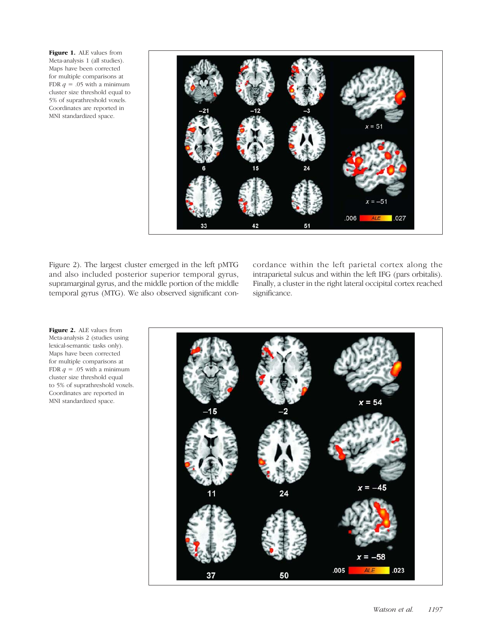Figure 1. ALE values from Meta-analysis 1 (all studies). Maps have been corrected for multiple comparisons at FDR  $q = .05$  with a minimum cluster size threshold equal to 5% of suprathreshold voxels. Coordinates are reported in MNI standardized space.



Figure 2). The largest cluster emerged in the left pMTG and also included posterior superior temporal gyrus, supramarginal gyrus, and the middle portion of the middle temporal gyrus (MTG). We also observed significant concordance within the left parietal cortex along the intraparietal sulcus and within the left IFG (pars orbitalis). Finally, a cluster in the right lateral occipital cortex reached significance.

Figure 2. ALE values from Meta-analysis 2 (studies using lexical-semantic tasks only). Maps have been corrected for multiple comparisons at FDR  $q = .05$  with a minimum cluster size threshold equal to 5% of suprathreshold voxels. Coordinates are reported in MNI standardized space.

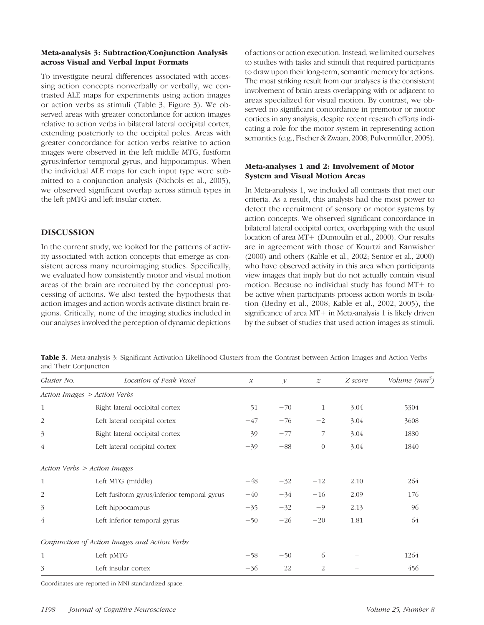## Meta-analysis 3: Subtraction/Conjunction Analysis across Visual and Verbal Input Formats

To investigate neural differences associated with accessing action concepts nonverbally or verbally, we contrasted ALE maps for experiments using action images or action verbs as stimuli (Table 3, Figure 3). We observed areas with greater concordance for action images relative to action verbs in bilateral lateral occipital cortex, extending posteriorly to the occipital poles. Areas with greater concordance for action verbs relative to action images were observed in the left middle MTG, fusiform gyrus/inferior temporal gyrus, and hippocampus. When the individual ALE maps for each input type were submitted to a conjunction analysis (Nichols et al., 2005), we observed significant overlap across stimuli types in the left pMTG and left insular cortex.

# DISCUSSION

In the current study, we looked for the patterns of activity associated with action concepts that emerge as consistent across many neuroimaging studies. Specifically, we evaluated how consistently motor and visual motion areas of the brain are recruited by the conceptual processing of actions. We also tested the hypothesis that action images and action words activate distinct brain regions. Critically, none of the imaging studies included in our analyses involved the perception of dynamic depictions of actions or action execution. Instead, we limited ourselves to studies with tasks and stimuli that required participants to draw upon their long-term, semantic memory for actions. The most striking result from our analyses is the consistent involvement of brain areas overlapping with or adjacent to areas specialized for visual motion. By contrast, we observed no significant concordance in premotor or motor cortices in any analysis, despite recent research efforts indicating a role for the motor system in representing action semantics (e.g., Fischer & Zwaan, 2008; Pulvermüller, 2005).

# Meta-analyses 1 and 2: Involvement of Motor System and Visual Motion Areas

In Meta-analysis 1, we included all contrasts that met our criteria. As a result, this analysis had the most power to detect the recruitment of sensory or motor systems by action concepts. We observed significant concordance in bilateral lateral occipital cortex, overlapping with the usual location of area MT+ (Dumoulin et al., 2000). Our results are in agreement with those of Kourtzi and Kanwisher (2000) and others (Kable et al., 2002; Senior et al., 2000) who have observed activity in this area when participants view images that imply but do not actually contain visual motion. Because no individual study has found MT+ to be active when participants process action words in isolation (Bedny et al., 2008; Kable et al., 2002, 2005), the significance of area MT+ in Meta-analysis 1 is likely driven by the subset of studies that used action images as stimuli.

Table 3. Meta-analysis 3: Significant Activation Likelihood Clusters from the Contrast between Action Images and Action Verbs and Their Conjunction

| Cluster No.    | Location of Peak Voxel                        | $\mathcal{X}% _{0}$ | $\mathcal{Y}$ | $\boldsymbol{z}$ | Z score | Volume $(mm^3)$ |
|----------------|-----------------------------------------------|---------------------|---------------|------------------|---------|-----------------|
|                | Action Images > Action Verbs                  |                     |               |                  |         |                 |
| 1              | Right lateral occipital cortex                | 51                  | $-70$         | 1                | 3.04    | 5304            |
| $\overline{c}$ | Left lateral occipital cortex                 | $-47$               | $-76$         | $-2$             | 3.04    | 3608            |
| 3              | Right lateral occipital cortex                | 39                  | $-77$         | 7                | 3.04    | 1880            |
| 4              | Left lateral occipital cortex                 | $-39$               | $-88$         | $\theta$         | 3.04    | 1840            |
|                | Action Verbs > Action Images                  |                     |               |                  |         |                 |
| $\mathbf{1}$   | Left MTG (middle)                             | $-48$               | $-32$         | $-12$            | 2.10    | 264             |
| $\overline{2}$ | Left fusiform gyrus/inferior temporal gyrus   | $-40$               | $-34$         | $-16$            | 2.09    | 176             |
| 3              | Left hippocampus                              | $-35$               | $-32$         | $-9$             | 2.13    | 96              |
| 4              | Left inferior temporal gyrus                  | $-50$               | $-26$         | $-20$            | 1.81    | 64              |
|                | Conjunction of Action Images and Action Verbs |                     |               |                  |         |                 |
| $\mathbf{1}$   | Left pMTG                                     | $-58$               | $-50$         | 6                |         | 1264            |
| 3              | Left insular cortex                           | $-36$               | 22            | $\overline{2}$   |         | 456             |

Coordinates are reported in MNI standardized space.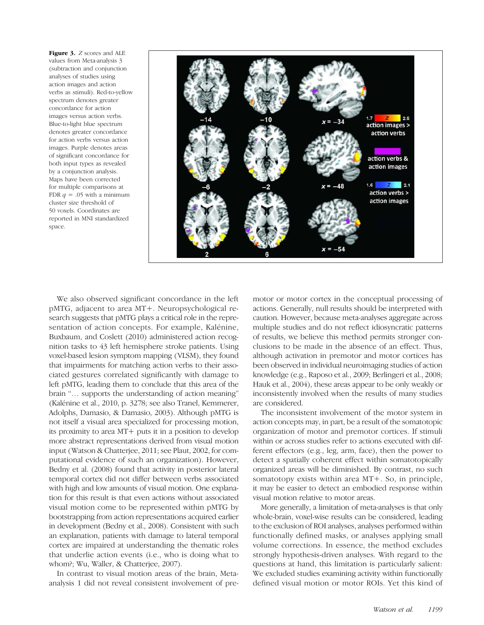Figure 3. Z scores and ALE values from Meta-analysis 3 (subtraction and conjunction analyses of studies using action images and action verbs as stimuli). Red-to-yellow spectrum denotes greater concordance for action images versus action verbs. Blue-to-light blue spectrum denotes greater concordance for action verbs versus action images. Purple denotes areas of significant concordance for both input types as revealed by a conjunction analysis. Maps have been corrected for multiple comparisons at FDR  $q = .05$  with a minimum cluster size threshold of 50 voxels. Coordinates are reported in MNI standardized space.



We also observed significant concordance in the left pMTG, adjacent to area MT+. Neuropsychological research suggests that pMTG plays a critical role in the representation of action concepts. For example, Kalénine, Buxbaum, and Coslett (2010) administered action recognition tasks to 43 left hemisphere stroke patients. Using voxel-based lesion symptom mapping (VLSM), they found that impairments for matching action verbs to their associated gestures correlated significantly with damage to left pMTG, leading them to conclude that this area of the brain "… supports the understanding of action meaning" (Kalénine et al., 2010, p. 3278; see also Tranel, Kemmerer, Adolphs, Damasio, & Damasio, 2003). Although pMTG is not itself a visual area specialized for processing motion, its proximity to area MT+ puts it in a position to develop more abstract representations derived from visual motion input (Watson & Chatterjee, 2011; see Plaut, 2002, for computational evidence of such an organization). However, Bedny et al. (2008) found that activity in posterior lateral temporal cortex did not differ between verbs associated with high and low amounts of visual motion. One explanation for this result is that even actions without associated visual motion come to be represented within pMTG by bootstrapping from action representations acquired earlier in development (Bedny et al., 2008). Consistent with such an explanation, patients with damage to lateral temporal cortex are impaired at understanding the thematic roles that underlie action events (i.e., who is doing what to whom?; Wu, Waller, & Chatterjee, 2007).

In contrast to visual motion areas of the brain, Metaanalysis 1 did not reveal consistent involvement of pre-

motor or motor cortex in the conceptual processing of actions. Generally, null results should be interpreted with caution. However, because meta-analyses aggregate across multiple studies and do not reflect idiosyncratic patterns of results, we believe this method permits stronger conclusions to be made in the absence of an effect. Thus, although activation in premotor and motor cortices has been observed in individual neuroimaging studies of action knowledge (e.g., Raposo et al., 2009; Berlingeri et al., 2008; Hauk et al., 2004), these areas appear to be only weakly or inconsistently involved when the results of many studies are considered.

The inconsistent involvement of the motor system in action concepts may, in part, be a result of the somatotopic organization of motor and premotor cortices. If stimuli within or across studies refer to actions executed with different effectors (e.g., leg, arm, face), then the power to detect a spatially coherent effect within somatotopically organized areas will be diminished. By contrast, no such somatotopy exists within area MT+. So, in principle, it may be easier to detect an embodied response within visual motion relative to motor areas.

More generally, a limitation of meta-analyses is that only whole-brain, voxel-wise results can be considered, leading to the exclusion of ROI analyses, analyses performed within functionally defined masks, or analyses applying small volume corrections. In essence, the method excludes strongly hypothesis-driven analyses. With regard to the questions at hand, this limitation is particularly salient: We excluded studies examining activity within functionally defined visual motion or motor ROIs. Yet this kind of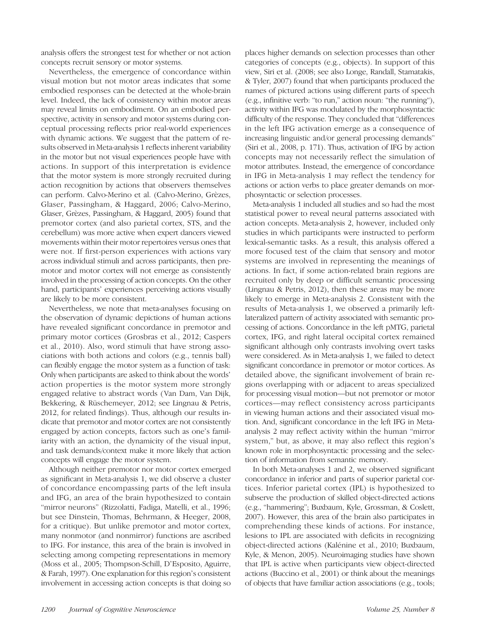analysis offers the strongest test for whether or not action concepts recruit sensory or motor systems.

Nevertheless, the emergence of concordance within visual motion but not motor areas indicates that some embodied responses can be detected at the whole-brain level. Indeed, the lack of consistency within motor areas may reveal limits on embodiment. On an embodied perspective, activity in sensory and motor systems during conceptual processing reflects prior real-world experiences with dynamic actions. We suggest that the pattern of results observed in Meta-analysis 1 reflects inherent variability in the motor but not visual experiences people have with actions. In support of this interpretation is evidence that the motor system is more strongly recruited during action recognition by actions that observers themselves can perform. Calvo-Merino et al. (Calvo-Merino, Grèzes, Glaser, Passingham, & Haggard, 2006; Calvo-Merino, Glaser, Grèzes, Passingham, & Haggard, 2005) found that premotor cortex (and also parietal cortex, STS, and the cerebellum) was more active when expert dancers viewed movements within their motor repertoires versus ones that were not. If first-person experiences with actions vary across individual stimuli and across participants, then premotor and motor cortex will not emerge as consistently involved in the processing of action concepts. On the other hand, participants' experiences perceiving actions visually are likely to be more consistent.

Nevertheless, we note that meta-analyses focusing on the observation of dynamic depictions of human actions have revealed significant concordance in premotor and primary motor cortices (Grosbras et al., 2012; Caspers et al., 2010). Also, word stimuli that have strong associations with both actions and colors (e.g., tennis ball) can flexibly engage the motor system as a function of task: Only when participants are asked to think about the words' action properties is the motor system more strongly engaged relative to abstract words (Van Dam, Van Dijk, Bekkering, & Rüschemeyer, 2012; see Lingnau & Petris, 2012, for related findings). Thus, although our results indicate that premotor and motor cortex are not consistently engaged by action concepts, factors such as one's familiarity with an action, the dynamicity of the visual input, and task demands/context make it more likely that action concepts will engage the motor system.

Although neither premotor nor motor cortex emerged as significant in Meta-analysis 1, we did observe a cluster of concordance encompassing parts of the left insula and IFG, an area of the brain hypothesized to contain "mirror neurons" (Rizzolatti, Fadiga, Matelli, et al., 1996; but see Dinstein, Thomas, Behrmann, & Heeger, 2008, for a critique). But unlike premotor and motor cortex, many nonmotor (and nonmirror) functions are ascribed to IFG. For instance, this area of the brain is involved in selecting among competing representations in memory (Moss et al., 2005; Thompson-Schill, D'Esposito, Aguirre, & Farah, 1997). One explanation for this region's consistent involvement in accessing action concepts is that doing so places higher demands on selection processes than other categories of concepts (e.g., objects). In support of this view, Siri et al. (2008; see also Longe, Randall, Stamatakis, & Tyler, 2007) found that when participants produced the names of pictured actions using different parts of speech (e.g., infinitive verb: "to run," action noun: "the running"), activity within IFG was modulated by the morphosyntactic difficulty of the response. They concluded that "differences in the left IFG activation emerge as a consequence of increasing linguistic and/or general processing demands" (Siri et al., 2008, p. 171). Thus, activation of IFG by action concepts may not necessarily reflect the simulation of motor attributes. Instead, the emergence of concordance in IFG in Meta-analysis 1 may reflect the tendency for actions or action verbs to place greater demands on morphosyntactic or selection processes.

Meta-analysis 1 included all studies and so had the most statistical power to reveal neural patterns associated with action concepts. Meta-analysis 2, however, included only studies in which participants were instructed to perform lexical-semantic tasks. As a result, this analysis offered a more focused test of the claim that sensory and motor systems are involved in representing the meanings of actions. In fact, if some action-related brain regions are recruited only by deep or difficult semantic processing (Lingnau & Petris, 2012), then these areas may be more likely to emerge in Meta-analysis 2. Consistent with the results of Meta-analysis 1, we observed a primarily leftlateralized pattern of activity associated with semantic processing of actions. Concordance in the left pMTG, parietal cortex, IFG, and right lateral occipital cortex remained significant although only contrasts involving overt tasks were considered. As in Meta-analysis 1, we failed to detect significant concordance in premotor or motor cortices. As detailed above, the significant involvement of brain regions overlapping with or adjacent to areas specialized for processing visual motion—but not premotor or motor cortices—may reflect consistency across participants in viewing human actions and their associated visual motion. And, significant concordance in the left IFG in Metaanalysis 2 may reflect activity within the human "mirror system," but, as above, it may also reflect this region's known role in morphosyntactic processing and the selection of information from semantic memory.

In both Meta-analyses 1 and 2, we observed significant concordance in inferior and parts of superior parietal cortices. Inferior parietal cortex (IPL) is hypothesized to subserve the production of skilled object-directed actions (e.g., "hammering"; Buxbaum, Kyle, Grossman, & Coslett, 2007). However, this area of the brain also participates in comprehending these kinds of actions. For instance, lesions to IPL are associated with deficits in recognizing object-directed actions (Kalénine et al., 2010; Buxbaum, Kyle, & Menon, 2005). Neuroimaging studies have shown that IPL is active when participants view object-directed actions (Buccino et al., 2001) or think about the meanings of objects that have familiar action associations (e.g., tools;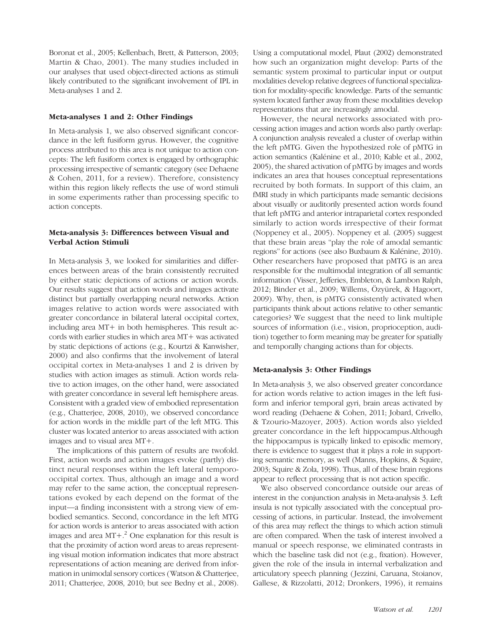Boronat et al., 2005; Kellenbach, Brett, & Patterson, 2003; Martin & Chao, 2001). The many studies included in our analyses that used object-directed actions as stimuli likely contributed to the significant involvement of IPL in Meta-analyses 1 and 2.

## Meta-analyses 1 and 2: Other Findings

In Meta-analysis 1, we also observed significant concordance in the left fusiform gyrus. However, the cognitive process attributed to this area is not unique to action concepts: The left fusiform cortex is engaged by orthographic processing irrespective of semantic category (see Dehaene & Cohen, 2011, for a review). Therefore, consistency within this region likely reflects the use of word stimuli in some experiments rather than processing specific to action concepts.

## Meta-analysis 3: Differences between Visual and Verbal Action Stimuli

In Meta-analysis 3, we looked for similarities and differences between areas of the brain consistently recruited by either static depictions of actions or action words. Our results suggest that action words and images activate distinct but partially overlapping neural networks. Action images relative to action words were associated with greater concordance in bilateral lateral occipital cortex, including area MT+ in both hemispheres. This result accords with earlier studies in which area MT+ was activated by static depictions of actions (e.g., Kourtzi & Kanwisher, 2000) and also confirms that the involvement of lateral occipital cortex in Meta-analyses 1 and 2 is driven by studies with action images as stimuli. Action words relative to action images, on the other hand, were associated with greater concordance in several left hemisphere areas. Consistent with a graded view of embodied representation (e.g., Chatterjee, 2008, 2010), we observed concordance for action words in the middle part of the left MTG. This cluster was located anterior to areas associated with action images and to visual area MT+.

The implications of this pattern of results are twofold. First, action words and action images evoke (partly) distinct neural responses within the left lateral temporooccipital cortex. Thus, although an image and a word may refer to the same action, the conceptual representations evoked by each depend on the format of the input—a finding inconsistent with a strong view of embodied semantics. Second, concordance in the left MTG for action words is anterior to areas associated with action images and area  $MT+<sup>2</sup>$  One explanation for this result is that the proximity of action word areas to areas representing visual motion information indicates that more abstract representations of action meaning are derived from information in unimodal sensory cortices (Watson & Chatterjee, 2011; Chatterjee, 2008, 2010; but see Bedny et al., 2008).

Using a computational model, Plaut (2002) demonstrated how such an organization might develop: Parts of the semantic system proximal to particular input or output modalities develop relative degrees of functional specialization for modality-specific knowledge. Parts of the semantic system located farther away from these modalities develop representations that are increasingly amodal.

However, the neural networks associated with processing action images and action words also partly overlap: A conjunction analysis revealed a cluster of overlap within the left pMTG. Given the hypothesized role of pMTG in action semantics (Kalénine et al., 2010; Kable et al., 2002, 2005), the shared activation of pMTG by images and words indicates an area that houses conceptual representations recruited by both formats. In support of this claim, an fMRI study in which participants made semantic decisions about visually or auditorily presented action words found that left pMTG and anterior intraparietal cortex responded similarly to action words irrespective of their format (Noppeney et al., 2005). Noppeney et al. (2005) suggest that these brain areas "play the role of amodal semantic regions" for actions (see also Buxbaum & Kalénine, 2010). Other researchers have proposed that pMTG is an area responsible for the multimodal integration of all semantic information (Visser, Jefferies, Embleton, & Lambon Ralph, 2012; Binder et al., 2009; Willems, Özyürek, & Hagoort, 2009). Why, then, is pMTG consistently activated when participants think about actions relative to other semantic categories? We suggest that the need to link multiple sources of information (i.e., vision, proprioception, audition) together to form meaning may be greater for spatially and temporally changing actions than for objects.

## Meta-analysis 3: Other Findings

In Meta-analysis 3, we also observed greater concordance for action words relative to action images in the left fusiform and inferior temporal gyri, brain areas activated by word reading (Dehaene & Cohen, 2011; Jobard, Crivello, & Tzourio-Mazoyer, 2003). Action words also yielded greater concordance in the left hippocampus.Although the hippocampus is typically linked to episodic memory, there is evidence to suggest that it plays a role in supporting semantic memory, as well (Manns, Hopkins, & Squire, 2003; Squire & Zola, 1998). Thus, all of these brain regions appear to reflect processing that is not action specific.

We also observed concordance outside our areas of interest in the conjunction analysis in Meta-analysis 3. Left insula is not typically associated with the conceptual processing of actions, in particular. Instead, the involvement of this area may reflect the things to which action stimuli are often compared. When the task of interest involved a manual or speech response, we eliminated contrasts in which the baseline task did not (e.g., fixation). However, given the role of the insula in internal verbalization and articulatory speech planning ( Jezzini, Caruana, Stoianov, Gallese, & Rizzolatti, 2012; Dronkers, 1996), it remains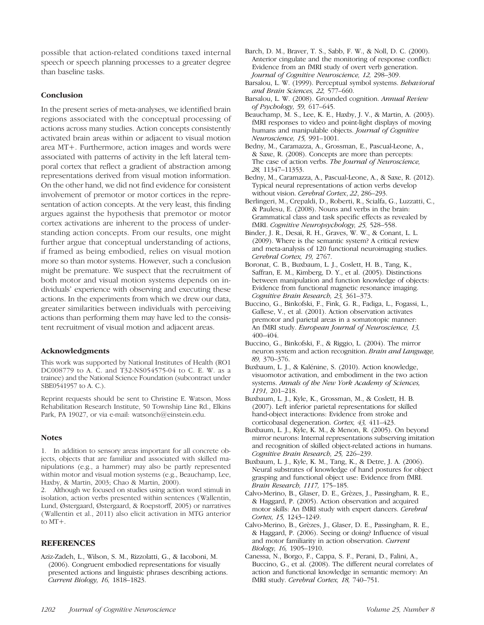possible that action-related conditions taxed internal speech or speech planning processes to a greater degree than baseline tasks.

## **Conclusion**

In the present series of meta-analyses, we identified brain regions associated with the conceptual processing of actions across many studies. Action concepts consistently activated brain areas within or adjacent to visual motion area MT+. Furthermore, action images and words were associated with patterns of activity in the left lateral temporal cortex that reflect a gradient of abstraction among representations derived from visual motion information. On the other hand, we did not find evidence for consistent involvement of premotor or motor cortices in the representation of action concepts. At the very least, this finding argues against the hypothesis that premotor or motor cortex activations are inherent to the process of understanding action concepts. From our results, one might further argue that conceptual understanding of actions, if framed as being embodied, relies on visual motion more so than motor systems. However, such a conclusion might be premature. We suspect that the recruitment of both motor and visual motion systems depends on individuals' experience with observing and executing these actions. In the experiments from which we drew our data, greater similarities between individuals with perceiving actions than performing them may have led to the consistent recruitment of visual motion and adjacent areas.

## Acknowledgments

This work was supported by National Institutes of Health (RO1 DC008779 to A. C. and T32-NS054575-04 to C. E. W. as a trainee) and the National Science Foundation (subcontract under SBE0541957 to A. C.).

Reprint requests should be sent to Christine E. Watson, Moss Rehabilitation Research Institute, 50 Township Line Rd., Elkins Park, PA 19027, or via e-mail: watsonch@einstein.edu.

## **Notes**

1. In addition to sensory areas important for all concrete objects, objects that are familiar and associated with skilled manipulations (e.g., a hammer) may also be partly represented within motor and visual motion systems (e.g., Beauchamp, Lee, Haxby, & Martin, 2003; Chao & Martin, 2000).

2. Although we focused on studies using action word stimuli in isolation, action verbs presented within sentences (Wallentin, Lund, Østergaard, Østergaard, & Roepstorff, 2005) or narratives (Wallentin et al., 2011) also elicit activation in MTG anterior to MT+.

#### REFERENCES

Aziz-Zadeh, L., Wilson, S. M., Rizzolatti, G., & Iacoboni, M. (2006). Congruent embodied representations for visually presented actions and linguistic phrases describing actions. Current Biology, 16, 1818–1823.

- Barch, D. M., Braver, T. S., Sabb, F. W., & Noll, D. C. (2000). Anterior cingulate and the monitoring of response conflict: Evidence from an fMRI study of overt verb generation. Journal of Cognitive Neuroscience, 12, 298–309.
- Barsalou, L. W. (1999). Perceptual symbol systems. Behavioral and Brain Sciences, 22, 577–660.
- Barsalou, L. W. (2008). Grounded cognition. Annual Review of Psychology, 59, 617–645.
- Beauchamp, M. S., Lee, K. E., Haxby, J. V., & Martin, A. (2003). fMRI responses to video and point-light displays of moving humans and manipulable objects. Journal of Cognitive Neuroscience, 15, 991–1001.
- Bedny, M., Caramazza, A., Grossman, E., Pascual-Leone, A., & Saxe, R. (2008). Concepts are more than percepts: The case of action verbs. The Journal of Neuroscience, 28, 11347–11353.
- Bedny, M., Caramazza, A., Pascual-Leone, A., & Saxe, R. (2012). Typical neural representations of action verbs develop without vision. Cerebral Cortex, 22, 286-293.
- Berlingeri, M., Crepaldi, D., Roberti, R., Scialfa, G., Luzzatti, C., & Paulesu, E. (2008). Nouns and verbs in the brain: Grammatical class and task specific effects as revealed by fMRI. Cognitive Neuropsychology, 25, 528–558.
- Binder, J. R., Desai, R. H., Graves, W. W., & Conant, L. L. (2009). Where is the semantic system? A critical review and meta-analysis of 120 functional neuroimaging studies. Cerebral Cortex, 19, 2767.
- Boronat, C. B., Buxbaum, L. J., Coslett, H. B., Tang, K., Saffran, E. M., Kimberg, D. Y., et al. (2005). Distinctions between manipulation and function knowledge of objects: Evidence from functional magnetic resonance imaging. Cognitive Brain Research, 23, 361–373.
- Buccino, G., Binkofski, F., Fink, G. R., Fadiga, L., Fogassi, L., Gallese, V., et al. (2001). Action observation activates premotor and parietal areas in a somatotopic manner: An fMRI study. European Journal of Neuroscience, 13, 400–404.
- Buccino, G., Binkofski, F., & Riggio, L. (2004). The mirror neuron system and action recognition. Brain and Language, 89, 370–376.
- Buxbaum, L. J., & Kalénine, S. (2010). Action knowledge, visuomotor activation, and embodiment in the two action systems. Annals of the New York Academy of Sciences, 1191, 201–218.
- Buxbaum, L. J., Kyle, K., Grossman, M., & Coslett, H. B. (2007). Left inferior parietal representations for skilled hand-object interactions: Evidence from stroke and corticobasal degeneration. Cortex, 43, 411–423.
- Buxbaum, L. J., Kyle, K. M., & Menon, R. (2005). On beyond mirror neurons: Internal representations subserving imitation and recognition of skilled object-related actions in humans. Cognitive Brain Research, 25, 226–239.
- Buxbaum, L. J., Kyle, K. M., Tang, K., & Detre, J. A. (2006). Neural substrates of knowledge of hand postures for object grasping and functional object use: Evidence from fMRI. Brain Research, 1117, 175–185.
- Calvo-Merino, B., Glaser, D. E., Grèzes, J., Passingham, R. E., & Haggard, P. (2005). Action observation and acquired motor skills: An fMRI study with expert dancers. Cerebral Cortex, 15, 1243–1249.
- Calvo-Merino, B., Grèzes, J., Glaser, D. E., Passingham, R. E., & Haggard, P. (2006). Seeing or doing? Influence of visual and motor familiarity in action observation. Current Biology, 16, 1905–1910.
- Canessa, N., Borgo, F., Cappa, S. F., Perani, D., Falini, A., Buccino, G., et al. (2008). The different neural correlates of action and functional knowledge in semantic memory: An fMRI study. Cerebral Cortex, 18, 740–751.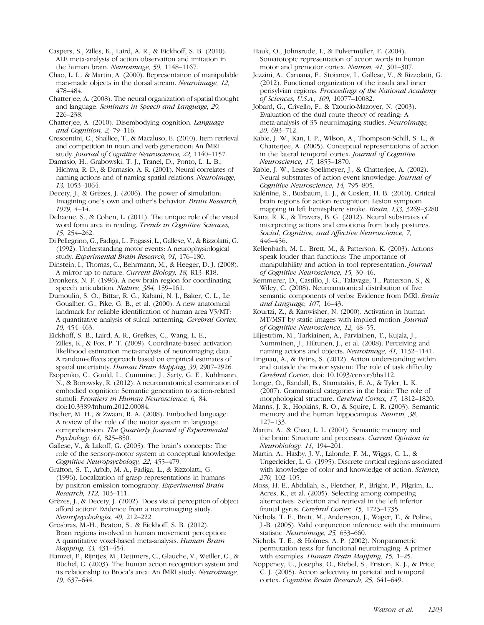Caspers, S., Zilles, K., Laird, A. R., & Eickhoff, S. B. (2010). ALE meta-analysis of action observation and imitation in the human brain. Neuroimage, 50, 1148–1167.

Chao, L. L., & Martin, A. (2000). Representation of manipulable man-made objects in the dorsal stream. Neuroimage, 12, 478–484.

Chatterjee, A. (2008). The neural organization of spatial thought and language. Seminars in Speech and Language, 29, 226–238.

Chatterjee, A. (2010). Disembodying cognition. Language and Cognition, 2, 79–116.

Crescentini, C., Shallice, T., & Macaluso, E. (2010). Item retrieval and competition in noun and verb generation: An fMRI study. Journal of Cognitive Neuroscience, 22, 1140–1157.

Damasio, H., Grabowski, T. J., Tranel, D., Ponto, L. L. B., Hichwa, R. D., & Damasio, A. R. (2001). Neural correlates of naming actions and of naming spatial relations. Neuroimage, 13, 1053–1064.

Decety, J., & Grèzes, J. (2006). The power of simulation: Imagining one's own and other's behavior. Brain Research, 1079, 4–14.

Dehaene, S., & Cohen, L. (2011). The unique role of the visual word form area in reading. Trends in Cognitive Sciences, 15, 254–262.

Di Pellegrino, G., Fadiga, L., Fogassi, L., Gallese, V., & Rizzolatti, G. (1992). Understanding motor events: A neurophysiological study. Experimental Brain Research, 91, 176–180.

Dinstein, I., Thomas, C., Behrmann, M., & Heeger, D. J. (2008). A mirror up to nature. Current Biology, 18, R13–R18.

Dronkers, N. F. (1996). A new brain region for coordinating speech articulation. Nature, 384, 159–161.

Dumoulin, S. O., Bittar, R. G., Kabani, N. J., Baker, C. L., Le Goualher, G., Pike, G. B., et al. (2000). A new anatomical landmark for reliable identification of human area V5/MT: A quantitative analysis of sulcal patterning. Cerebral Cortex, 10, 454–463.

Eickhoff, S. B., Laird, A. R., Grefkes, C., Wang, L. E., Zilles, K., & Fox, P. T. (2009). Coordinate-based activation likelihood estimation meta-analysis of neuroimaging data: A random-effects approach based on empirical estimates of spatial uncertainty. Human Brain Mapping, 30, 2907–2926.

Esopenko, C., Gould, L., Cummine, J., Sarty, G. E., Kuhlmann, N., & Borowsky, R. (2012). A neuroanatomical examination of embodied cognition: Semantic generation to action-related stimuli. Frontiers in Human Neuroscience, 6, 84. doi:10.3389/fnhum.2012.00084.

Fischer, M. H., & Zwaan, R. A. (2008). Embodied language: A review of the role of the motor system in language comprehension. The Quarterly Journal of Experimental Psychology, 61, 825–850.

Gallese, V., & Lakoff, G. (2005). The brain's concepts: The role of the sensory-motor system in conceptual knowledge. Cognitive Neuropsychology, 22, 455–479.

Grafton, S. T., Arbib, M. A., Fadiga, L., & Rizzolatti, G. (1996). Localization of grasp representations in humans by positron emission tomography. Experimental Brain Research, 112, 103–111.

Grèzes, J., & Decety, J. (2002). Does visual perception of object afford action? Evidence from a neuroimaging study. Neuropsychologia, 40, 212–222.

Grosbras, M.-H., Beaton, S., & Eickhoff, S. B. (2012). Brain regions involved in human movement perception: A quantitative voxel-based meta-analysis. Human Brain Mapping, 33, 431–454.

Hamzei, F., Rijntjes, M., Dettmers, C., Glauche, V., Weiller, C., & Büchel, C. (2003). The human action recognition system and its relationship to Broca's area: An fMRI study. Neuroimage, 19, 637–644.

Hauk, O., Johnsrude, I., & Pulvermüller, F. (2004). Somatotopic representation of action words in human motor and premotor cortex. Neuron, 41, 301–307.

Jezzini, A., Caruana, F., Stoianov, I., Gallese, V., & Rizzolatti, G. (2012). Functional organization of the insula and inner perisylvian regions. Proceedings of the National Academy of Sciences, U.S.A., 109, 10077–10082.

Jobard, G., Crivello, F., & Tzourio-Mazoyer, N. (2003). Evaluation of the dual route theory of reading: A meta-analysis of 35 neuroimaging studies. Neuroimage, 20, 693–712.

Kable, J. W., Kan, I. P., Wilson, A., Thompson-Schill, S. L., & Chatterjee, A. (2005). Conceptual representations of action in the lateral temporal cortex. Journal of Cognitive Neuroscience, 17, 1855–1870.

Kable, J. W., Lease-Spellmeyer, J., & Chatterjee, A. (2002). Neural substrates of action event knowledge. Journal of Cognitive Neuroscience, 14, 795–805.

Kalénine, S., Buxbaum, L. J., & Coslett, H. B. (2010). Critical brain regions for action recognition: Lesion symptom mapping in left hemisphere stroke. Brain, 133, 3269–3280.

Kana, R. K., & Travers, B. G. (2012). Neural substrates of interpreting actions and emotions from body postures. Social, Cognitive, and Affective Neuroscience, 7, 446–456.

Kellenbach, M. L., Brett, M., & Patterson, K. (2003). Actions speak louder than functions: The importance of manipulability and action in tool representation. Journal of Cognitive Neuroscience, 15, 30–46.

Kemmerer, D., Castillo, J. G., Talavage, T., Patterson, S., & Wiley, C. (2008). Neuroanatomical distribution of five semantic components of verbs: Evidence from fMRI. Brain and Language, 107, 16–43.

Kourtzi, Z., & Kanwisher, N. (2000). Activation in human MT/MST by static images with implied motion. Journal of Cognitive Neuroscience, 12, 48–55.

Liljeström, M., Tarkiainen, A., Parviainen, T., Kujala, J., Numminen, J., Hiltunen, J., et al. (2008). Perceiving and naming actions and objects. Neuroimage, 41, 1132–1141.

Lingnau, A., & Petris, S. (2012). Action understanding within and outside the motor system: The role of task difficulty. Cerebral Cortex, doi: 10.1093/cercor/bhs112.

Longe, O., Randall, B., Stamatakis, E. A., & Tyler, L. K. (2007). Grammatical categories in the brain: The role of morphological structure. Cerebral Cortex, 17, 1812–1820.

Manns, J. R., Hopkins, R. O., & Squire, L. R. (2003). Semantic memory and the human hippocampus. *Neuron*, 38, 127–133.

Martin, A., & Chao, L. L. (2001). Semantic memory and the brain: Structure and processes. Current Opinion in Neurobiology, 11, 194–201.

Martin, A., Haxby, J. V., Lalonde, F. M., Wiggs, C. L., & Ungerleider, L. G. (1995). Discrete cortical regions associated with knowledge of color and knowledge of action. Science, 270, 102–105.

Moss, H. E., Abdallah, S., Fletcher, P., Bright, P., Pilgrim, L., Acres, K., et al. (2005). Selecting among competing alternatives: Selection and retrieval in the left inferior frontal gyrus. Cerebral Cortex, 15, 1723–1735.

Nichols, T. E., Brett, M., Andersson, J., Wager, T., & Poline, J.-B. (2005). Valid conjunction inference with the minimum statistic. Neuroimage, 25, 653–660.

Nichols, T. E., & Holmes, A. P. (2002). Nonparametric permutation tests for functional neuroimaging: A primer with examples. Human Brain Mapping, 15, 1–25.

Noppeney, U., Josephs, O., Kiebel, S., Friston, K. J., & Price, C. J. (2005). Action selectivity in parietal and temporal cortex. Cognitive Brain Research, 25, 641–649.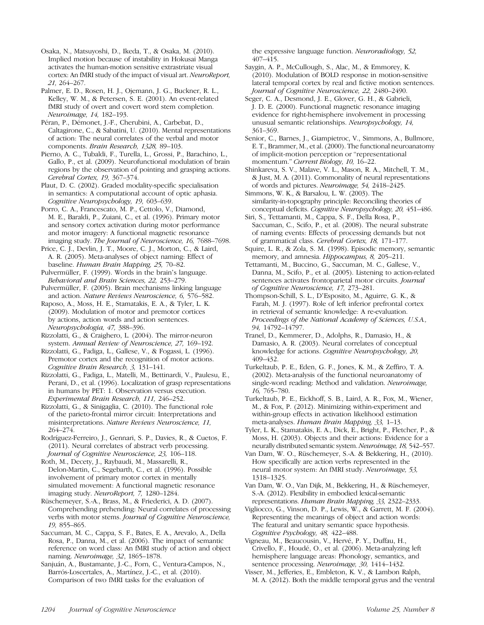Osaka, N., Matsuyoshi, D., Ikeda, T., & Osaka, M. (2010). Implied motion because of instability in Hokusai Manga activates the human-motion sensitive extrastriate visual cortex: An fMRI study of the impact of visual art. NeuroReport, 21, 264–267.

Palmer, E. D., Rosen, H. J., Ojemann, J. G., Buckner, R. L., Kelley, W. M., & Petersen, S. E. (2001). An event-related fMRI study of overt and covert word stem completion. Neuroimage, 14, 182–193.

Péran, P., Démonet, J.-F., Cherubini, A., Carbebat, D., Caltagirone, C., & Sabatini, U. (2010). Mental representations of action: The neural correlates of the verbal and motor components. Brain Research, 1328, 89–103.

Pierno, A. C., Tubaldi, F., Turella, L., Grossi, P., Barachino, L., Gallo, P., et al. (2009). Neurofunctional modulation of brain regions by the observation of pointing and grasping actions. Cerebral Cortex, 19, 367–374.

Plaut, D. C. (2002). Graded modality-specific specialisation in semantics: A computational account of optic aphasia. Cognitive Neuropsychology, 19, 603–639.

Porro, C. A., Francescato, M. P., Cettolo, V., Diamond, M. E., Baraldi, P., Zuiani, C., et al. (1996). Primary motor and sensory cortex activation during motor performance and motor imagery: A functional magnetic resonance imaging study. The Journal of Neuroscience, 16, 7688–7698.

Price, C. J., Devlin, J. T., Moore, C. J., Morton, C., & Laird, A. R. (2005). Meta-analyses of object naming: Effect of baseline. Human Brain Mapping, 25, 70–82.

Pulvermüller, F. (1999). Words in the brain's language. Behavioral and Brain Sciences, 22, 253–279.

Pulvermüller, F. (2005). Brain mechanisms linking language and action. Nature Reviews Neuroscience, 6, 576–582.

Raposo, A., Moss, H. E., Stamatakis, E. A., & Tyler, L. K. (2009). Modulation of motor and premotor cortices by actions, action words and action sentences. Neuropsychologia, 47, 388–396.

Rizzolatti, G., & Craighero, L. (2004). The mirror-neuron system. Annual Review of Neuroscience, 27, 169–192.

Rizzolatti, G., Fadiga, L., Gallese, V., & Fogassi, L. (1996). Premotor cortex and the recognition of motor actions. Cognitive Brain Research, 3, 131–141.

Rizzolatti, G., Fadiga, L., Matelli, M., Bettinardi, V., Paulesu, E., Perani, D., et al. (1996). Localization of grasp representations in humans by PET: 1. Observation versus execution. Experimental Brain Research, 111, 246–252.

Rizzolatti, G., & Sinigaglia, C. (2010). The functional role of the parieto-frontal mirror circuit: Interpretations and misinterpretations. Nature Reviews Neuroscience, 11, 264–274.

Rodríguez-Ferreiro, J., Gennari, S. P., Davies, R., & Cuetos, F. (2011). Neural correlates of abstract verb processing. Journal of Cognitive Neuroscience, 23, 106–118.

Roth, M., Decety, J., Raybaudi, M., Massarelli, R., Delon-Martin, C., Segebarth, C., et al. (1996). Possible involvement of primary motor cortex in mentally simulated movement: A functional magnetic resonance imaging study. NeuroReport, 7, 1280–1284.

Rüschemeyer, S.-A., Brass, M., & Friederici, A. D. (2007). Comprehending prehending: Neural correlates of processing verbs with motor stems. Journal of Cognitive Neuroscience, 19, 855–865.

Saccuman, M. C., Cappa, S. F., Bates, E. A., Arevalo, A., Della Rosa, P., Danna, M., et al. (2006). The impact of semantic reference on word class: An fMRI study of action and object naming. Neuroimage, 32, 1865–1878.

Sanjuán, A., Bustamante, J.-C., Forn, C., Ventura-Campos, N., Barrós-Loscertales, A., Martínez, J.-C., et al. (2010). Comparison of two fMRI tasks for the evaluation of

the expressive language function. Neuroradiology, 52, 407–415.

Saygin, A. P., McCullough, S., Alac, M., & Emmorey, K. (2010). Modulation of BOLD response in motion-sensitive lateral temporal cortex by real and fictive motion sentences. Journal of Cognitive Neuroscience, 22, 2480–2490.

Seger, C. A., Desmond, J. E., Glover, G. H., & Gabrieli, J. D. E. (2000). Functional magnetic resonance imaging evidence for right-hemisphere involvement in processing unusual semantic relationships. Neuropsychology, 14, 361–369.

Senior, C., Barnes, J., Giampietroc, V., Simmons, A., Bullmore, E. T., Brammer, M., et al. (2000). The functional neuroanatomy of implicit-motion perception or "representational momentum." Current Biology, 10, 16-22.

Shinkareva, S. V., Malave, V. L., Mason, R. A., Mitchell, T. M., & Just, M. A. (2011). Commonality of neural representations of words and pictures. Neuroimage, 54, 2418–2425.

Simmons, W. K., & Barsalou, L. W. (2003). The similarity-in-topography principle: Reconciling theories of conceptual deficits. Cognitive Neuropsychology, 20, 451–486.

Siri, S., Tettamanti, M., Cappa, S. F., Della Rosa, P., Saccuman, C., Scifo, P., et al. (2008). The neural substrate of naming events: Effects of processing demands but not of grammatical class. Cerebral Cortex, 18, 171–177.

Squire, L. R., & Zola, S. M. (1998). Episodic memory, semantic memory, and amnesia. Hippocampus, 8, 205–211.

Tettamanti, M., Buccino, G., Saccuman, M. C., Gallese, V., Danna, M., Scifo, P., et al. (2005). Listening to action-related sentences activates frontoparietal motor circuits. Journal of Cognitive Neuroscience, 17, 273–281.

Thompson-Schill, S. L., D'Esposito, M., Aguirre, G. K., & Farah, M. J. (1997). Role of left inferior prefrontal cortex in retrieval of semantic knowledge: A re-evaluation. Proceedings of the National Academy of Sciences, U.S.A., 94, 14792–14797.

Tranel, D., Kemmerer, D., Adolphs, R., Damasio, H., & Damasio, A. R. (2003). Neural correlates of conceptual knowledge for actions. Cognitive Neuropsychology, 20, 409–432.

Turkeltaub, P. E., Eden, G. F., Jones, K. M., & Zeffiro, T. A. (2002). Meta-analysis of the functional neuroanatomy of single-word reading: Method and validation. Neuroimage, 16, 765–780.

Turkeltaub, P. E., Eickhoff, S. B., Laird, A. R., Fox, M., Wiener, M., & Fox, P. (2012). Minimizing within-experiment and within-group effects in activation likelihood estimation meta-analyses. Human Brain Mapping, 33, 1–13.

Tyler, L. K., Stamatakis, E. A., Dick, E., Bright, P., Fletcher, P., & Moss, H. (2003). Objects and their actions: Evidence for a neurally distributed semantic system. Neuroimage, 18, 542–557.

Van Dam, W. O., Rüschemeyer, S.-A. & Bekkering, H., (2010). How specifically are action verbs represented in the neural motor system: An fMRI study. Neuroimage, 53, 1318–1325.

Van Dam, W. O., Van Dijk, M., Bekkering, H., & Rüschemeyer, S.-A. (2012). Flexibility in embodied lexical-semantic representations. Human Brain Mapping, 33, 2322–2333.

Vigliocco, G., Vinson, D. P., Lewis, W., & Garrett, M. F. (2004). Representing the meanings of object and action words: The featural and unitary semantic space hypothesis. Cognitive Psychology, 48, 422–488.

Vigneau, M., Beaucousin, V., Hervé, P. Y., Duffau, H., Crivello, F., Houdé, O., et al. (2006). Meta-analyzing left hemisphere language areas: Phonology, semantics, and sentence processing. Neuroimage, 30, 1414–1432.

Visser, M., Jefferies, E., Embleton, K. V., & Lambon Ralph, M. A. (2012). Both the middle temporal gyrus and the ventral